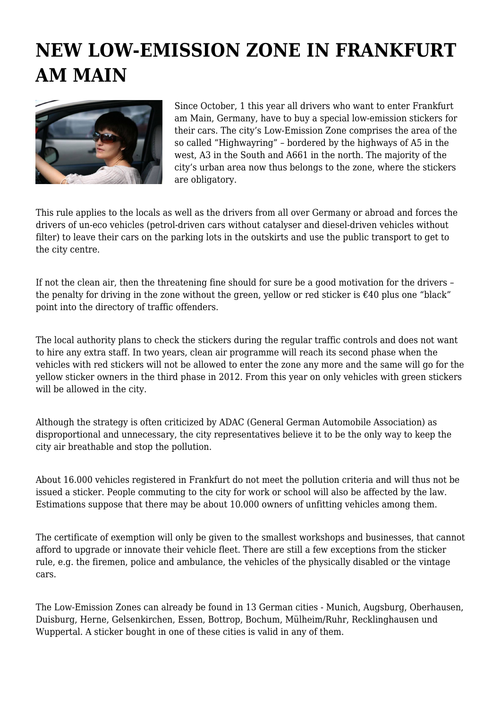## **NEW LOW-EMISSION ZONE IN FRANKFURT AM MAIN**



Since October, 1 this year all drivers who want to enter Frankfurt am Main, Germany, have to buy a special low-emission stickers for their cars. The city's Low-Emission Zone comprises the area of the so called "Highwayring" – bordered by the highways of A5 in the west, A3 in the South and A661 in the north. The majority of the city's urban area now thus belongs to the zone, where the stickers are obligatory.

This rule applies to the locals as well as the drivers from all over Germany or abroad and forces the drivers of un-eco vehicles (petrol-driven cars without catalyser and diesel-driven vehicles without filter) to leave their cars on the parking lots in the outskirts and use the public transport to get to the city centre.

If not the clean air, then the threatening fine should for sure be a good motivation for the drivers – the penalty for driving in the zone without the green, yellow or red sticker is  $\epsilon$ 40 plus one "black" point into the directory of traffic offenders.

The local authority plans to check the stickers during the regular traffic controls and does not want to hire any extra staff. In two years, clean air programme will reach its second phase when the vehicles with red stickers will not be allowed to enter the zone any more and the same will go for the yellow sticker owners in the third phase in 2012. From this year on only vehicles with green stickers will be allowed in the city.

Although the strategy is often criticized by ADAC (General German Automobile Association) as disproportional and unnecessary, the city representatives believe it to be the only way to keep the city air breathable and stop the pollution.

About 16.000 vehicles registered in Frankfurt do not meet the pollution criteria and will thus not be issued a sticker. People commuting to the city for work or school will also be affected by the law. Estimations suppose that there may be about 10.000 owners of unfitting vehicles among them.

The certificate of exemption will only be given to the smallest workshops and businesses, that cannot afford to upgrade or innovate their vehicle fleet. There are still a few exceptions from the sticker rule, e.g. the firemen, police and ambulance, the vehicles of the physically disabled or the vintage cars.

The Low-Emission Zones can already be found in 13 German cities - Munich, Augsburg, Oberhausen, Duisburg, Herne, Gelsenkirchen, Essen, Bottrop, Bochum, Mülheim/Ruhr, Recklinghausen und Wuppertal. A sticker bought in one of these cities is valid in any of them.